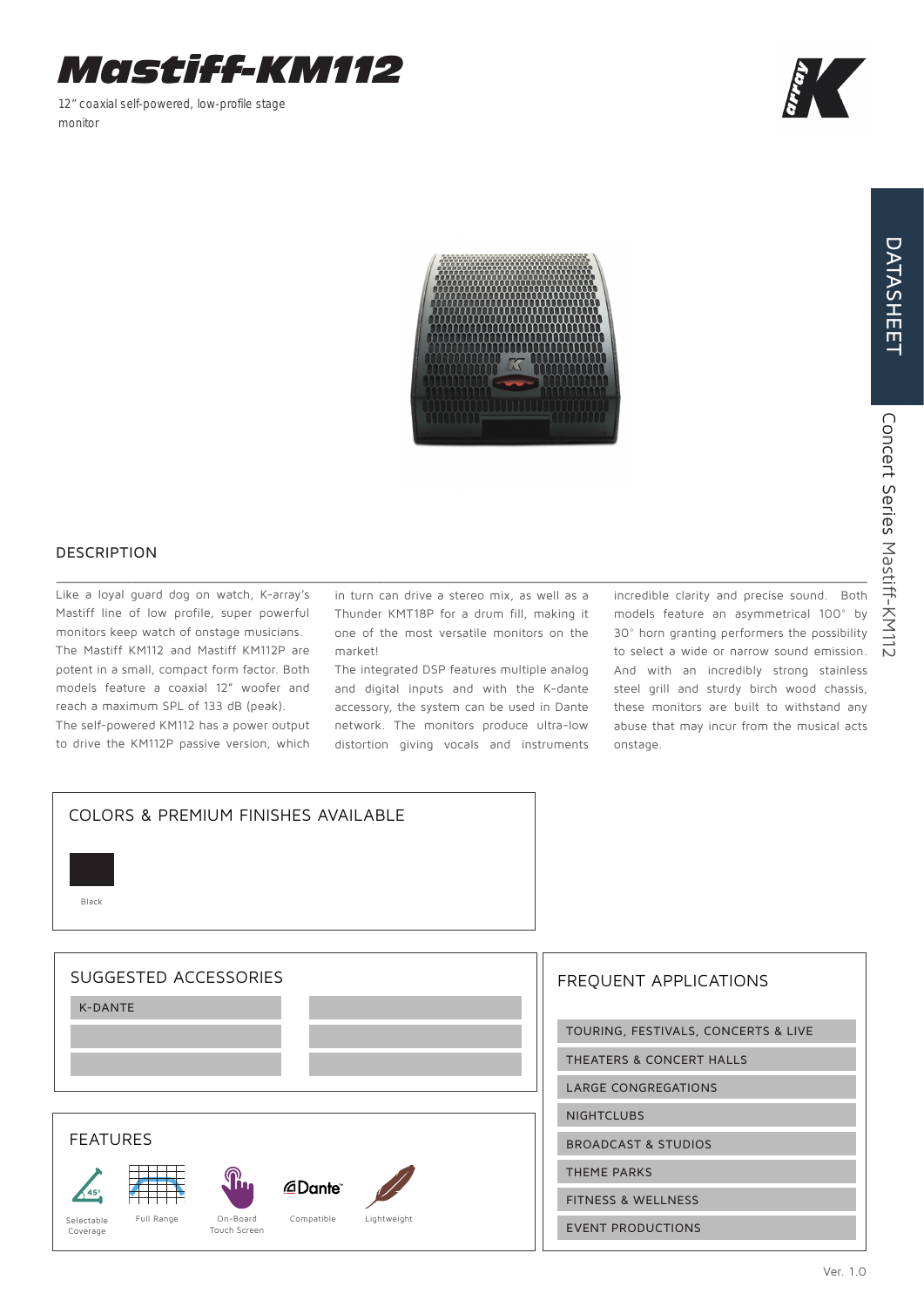

12" coaxial self-powered, low-profile stage monitor



DATASHEET

DATASHEET

## DESCRIPTION

Like a loyal guard dog on watch, K-array's Mastiff line of low profile, super powerful monitors keep watch of onstage musicians. The Mastiff KM112 and Mastiff KM112P are potent in a small, compact form factor. Both models feature a coaxial 12" woofer and reach a maximum SPL of 133 dB (peak).

The self-powered KM112 has a power output to drive the KM112P passive version, which

in turn can drive a stereo mix, as well as a Thunder KMT18P for a drum fill, making it one of the most versatile monitors on the market!

The integrated DSP features multiple analog and digital inputs and with the K-dante accessory, the system can be used in Dante network. The monitors produce ultra-low distortion giving vocals and instruments

incredible clarity and precise sound. Both models feature an asymmetrical 100° by 30° horn granting performers the possibility to select a wide or narrow sound emission. And with an incredibly strong stainless steel grill and sturdy birch wood chassis, these monitors are built to withstand any abuse that may incur from the musical acts onstage.



| <b>FREQUENT APPLICATIONS</b>        |
|-------------------------------------|
| TOURING, FESTIVALS, CONCERTS & LIVE |
| THEATERS & CONCERT HALLS            |
| <b>LARGE CONGREGATIONS</b>          |
| <b>NIGHTCLUBS</b>                   |
| <b>BROADCAST &amp; STUDIOS</b>      |
| <b>THEME PARKS</b>                  |
| <b>FITNESS &amp; WELLNESS</b>       |
| <b>EVENT PRODUCTIONS</b>            |
|                                     |